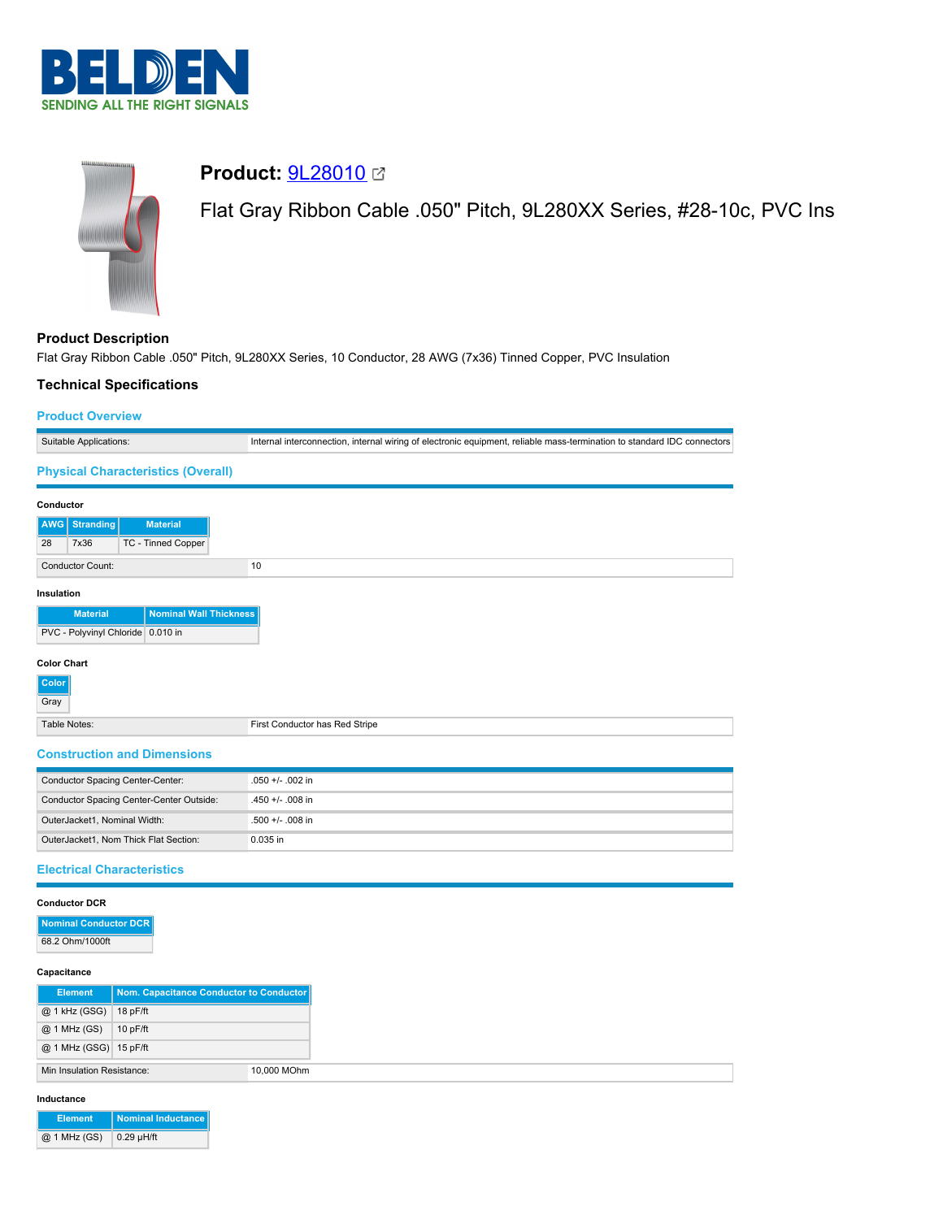



**Product Description** Flat Gray Ribbon Cable .050" Pitch, 9L280XX Series, 10 Conductor, 28 AWG (7x36) Tinned Copper, PVC Insulation

### **Technical Specifications**

### **Product Overview**

| Suitable Applications:                           | Internal interconnection, internal wiring of electronic equipment, reliable mass-termination to standard IDC connectors |
|--------------------------------------------------|-------------------------------------------------------------------------------------------------------------------------|
| <b>Physical Characteristics (Overall)</b>        |                                                                                                                         |
|                                                  |                                                                                                                         |
| Conductor                                        |                                                                                                                         |
| <b>Material</b><br>AWG<br><b>Stranding</b>       |                                                                                                                         |
| 7x36<br>TC - Tinned Copper<br>28                 |                                                                                                                         |
| <b>Conductor Count:</b>                          | 10                                                                                                                      |
| Insulation                                       |                                                                                                                         |
| <b>Nominal Wall Thickness</b><br><b>Material</b> |                                                                                                                         |
| PVC - Polyvinyl Chloride 0.010 in                |                                                                                                                         |
|                                                  |                                                                                                                         |
| <b>Color Chart</b>                               |                                                                                                                         |
| Color                                            |                                                                                                                         |
| Gray                                             |                                                                                                                         |
| Table Notes:                                     | First Conductor has Red Stripe                                                                                          |
| <b>Construction and Dimensions</b>               |                                                                                                                         |
| Conductor Spacing Center-Center:                 | .050 +/- .002 in                                                                                                        |
| Conductor Spacing Center-Center Outside:         | .450 +/- .008 in                                                                                                        |
| OuterJacket1, Nominal Width:                     | .500 +/- .008 in                                                                                                        |
| OuterJacket1, Nom Thick Flat Section:            | 0.035 in                                                                                                                |
| <b>Electrical Characteristics</b>                |                                                                                                                         |
|                                                  |                                                                                                                         |
| <b>Conductor DCR</b>                             |                                                                                                                         |
| <b>Nominal Conductor DCR</b>                     |                                                                                                                         |
| 68.2 Ohm/1000ft                                  |                                                                                                                         |
|                                                  |                                                                                                                         |
| Capacitance                                      |                                                                                                                         |

| <b>Element</b>             | Nom. Capacitance Conductor to Conductor |             |
|----------------------------|-----------------------------------------|-------------|
| @ 1 kHz (GSG)   18 pF/ft   |                                         |             |
| @ 1 MHz (GS)               | 10 $pF/ft$                              |             |
| @ 1 MHz (GSG) 15 pF/ft     |                                         |             |
| Min Insulation Resistance: |                                         | 10.000 MOhm |

#### **Inductance**

| Element      | Nominal Inductance |
|--------------|--------------------|
| @ 1 MHz (GS) | $0.29$ µH/ft       |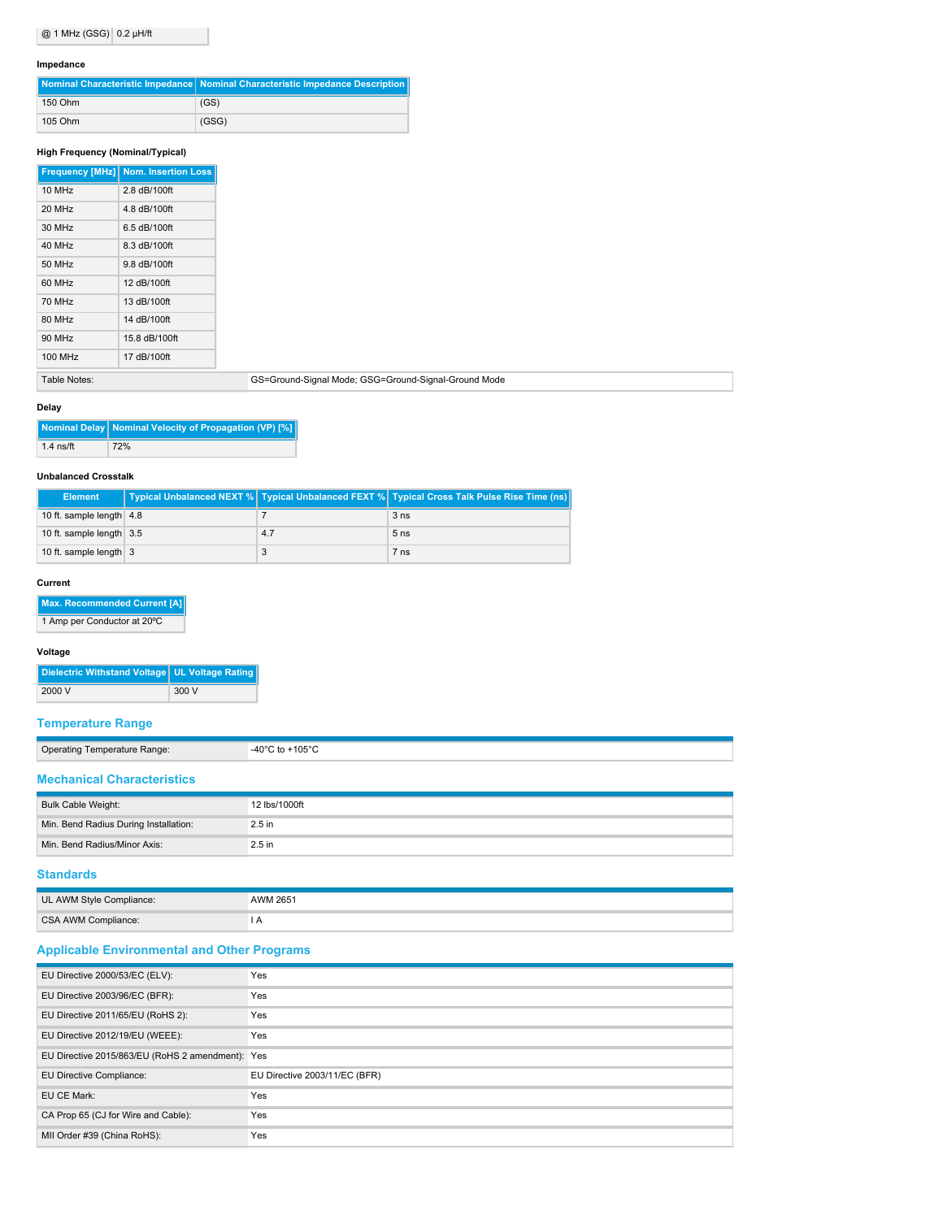#### **Impedance**

|         | Nominal Characteristic Impedance Nominal Characteristic Impedance Description |
|---------|-------------------------------------------------------------------------------|
| 150 Ohm | (GS)                                                                          |
| 105 Ohm | (GSG)                                                                         |

# **High Frequency (Nominal/Typical)**

|                | <b>Frequency [MHz] Nom. Insertion Loss</b> |
|----------------|--------------------------------------------|
| 10 MHz         | 2.8 dB/100ft                               |
| 20 MHz         | 4.8 dB/100ft                               |
| 30 MHz         | 6.5 dB/100ft                               |
| 40 MHz         | 8.3 dB/100ft                               |
| 50 MHz         | 9.8 dB/100ft                               |
| 60 MHz         | 12 dB/100ft                                |
| 70 MHz         | 13 dB/100ft                                |
| 80 MHz         | 14 dB/100ft                                |
| 90 MHz         | 15.8 dB/100ft                              |
| <b>100 MHz</b> | 17 dB/100ft                                |
| Toble Nation   |                                            |

Table Notes: GS=Ground-Signal Mode; GSG=Ground-Signal-Ground Mode

#### **Delay**

|             | Nominal Delay   Nominal Velocity of Propagation (VP) [%] |
|-------------|----------------------------------------------------------|
| $1.4$ ns/ft | 72%                                                      |

#### **Unbalanced Crosstalk**

| <b>Element</b>           |     | Typical Unbalanced NEXT % Typical Unbalanced FEXT % Typical Cross Talk Pulse Rise Time (ns) $\parallel$ |
|--------------------------|-----|---------------------------------------------------------------------------------------------------------|
| 10 ft. sample length 4.8 |     | 3 <sub>ns</sub>                                                                                         |
| 10 ft. sample length 3.5 | 4.7 | 5 <sub>ns</sub>                                                                                         |
| 10 ft. sample length 3   |     | 7 ns                                                                                                    |

### **Current**

# **Max. Recommended Current [A]**

1 Amp per Conductor at 20ºC

# **Voltage**

| Dielectric Withstand Voltage   UL Voltage Rating |      |
|--------------------------------------------------|------|
| 2000 V                                           | 300V |

# **Temperature Range**

| Operating Temperature Range:      | -40°C to +105°C |
|-----------------------------------|-----------------|
| <b>Mechanical Characteristics</b> |                 |

| Bulk Cable Weight:                    | 12 lbs/1000ft |
|---------------------------------------|---------------|
| Min. Bend Radius During Installation: | $2.5$ in      |
| Min. Bend Radius/Minor Axis:          | $2.5$ in      |

#### **Standards**

| UL AWM Style Compliance: | AWM 2651 |
|--------------------------|----------|
| CSA AWM Compliance:      | .        |

# **Applicable Environmental and Other Programs**

| EU Directive 2000/53/EC (ELV):                   | Yes                           |
|--------------------------------------------------|-------------------------------|
| EU Directive 2003/96/EC (BFR):                   | Yes                           |
| EU Directive 2011/65/EU (RoHS 2):                | Yes                           |
| EU Directive 2012/19/EU (WEEE):                  | Yes                           |
| EU Directive 2015/863/EU (RoHS 2 amendment): Yes |                               |
| EU Directive Compliance:                         | EU Directive 2003/11/EC (BFR) |
| EU CE Mark:                                      | Yes                           |
| CA Prop 65 (CJ for Wire and Cable):              | Yes                           |
| MII Order #39 (China RoHS):                      | Yes                           |